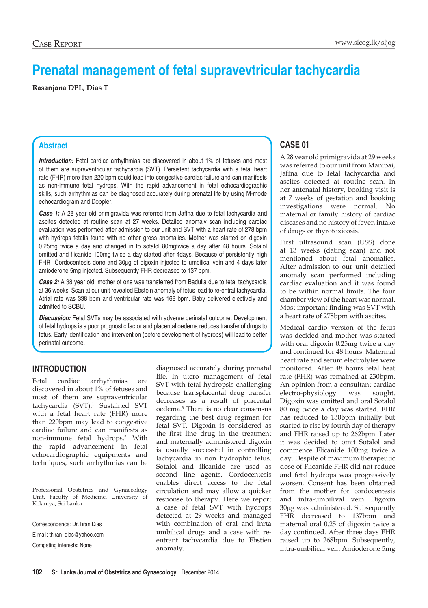# **Prenatal management of fetal supravevtricular tachycardia**

**Rasanjana DPL, Dias T**

## **Abstract**

**Introduction:** Fetal cardiac arrhythmias are discovered in about 1% of fetuses and most of them are supraventricular tachycardia (SVT). Persistent tachycardia with a fetal heart rate (FHR) more than 220 bpm could lead into congestive cardiac failure and can manifests as non-immune fetal hydrops. With the rapid advancement in fetal echocardiographic skills, such arrhythmias can be diagnosed accurately during prenatal life by using M-mode echocardiogram and Doppler.

*Case 1:* A 28 year old primigravida was referred from Jaffna due to fetal tachycardia and ascites detected at routine scan at 27 weeks. Detailed anomaly scan including cardiac evaluation was performed after admission to our unit and SVT with a heart rate of 278 bpm with hydrops fetalis found with no other gross anomalies. Mother was started on digoxin 0.25mg twice a day and changed in to sotalol 80mgtwice a day after 48 hours. Sotalol omitted and flicanide 100mg twice a day started after 4days. Because of persistently high FHR Cordocentesis done and 30µg of digoxin injected to umbilical vein and 4 days later amioderone 5mg injected. Subsequently FHR decreased to 137 bpm.

*Case 2:* A 38 year old, mother of one was transferred from Badulla due to fetal tachycardia at 36 weeks. Scan at our unit revealed Ebstein anomaly of fetus lead to re-entral tachycardia. Atrial rate was 338 bpm and ventricular rate was 168 bpm. Baby delivered electively and admitted to SCBU.

**Discussion:** Fetal SVTs may be associated with adverse perinatal outcome. Development of fetal hydrops is a poor prognostic factor and placental oedema reduces transfer of drugs to fetus. Early identification and intervention (before development of hydrops) will lead to better perinatal outcome.

# **Introduction**

Fetal cardiac arrhythmias are discovered in about 1% of fetuses and most of them are supraventricular tachycardia (SVT).1 Sustained SVT with a fetal heart rate (FHR) more than 220bpm may lead to congestive cardiac failure and can manifests as non-immune fetal hydrops.<sup>2</sup> With the rapid advancement in fetal echocardiographic equipments and techniques, such arrhythmias can be

Professorial Obstetrics and Gynaecology Unit, Faculty of Medicine, University of Kelaniya, Sri Lanka

Correspondence: Dr.Tiran Dias E-mail: thiran\_dias@yahoo.com Competing interests: None

diagnosed accurately during prenatal life. In utero management of fetal SVT with fetal hydropsis challenging because transplacental drug transfer decreases as a result of placental oedema.3 There is no clear consensus regarding the best drug regimen for fetal SVT. Digoxin is considered as the first line drug in the treatment and maternally administered digoxin is usually successful in controlling tachycardia in non hydrophic fetus. Sotalol and flicanide are used as second line agents. Cordocentesis enables direct access to the fetal circulation and may allow a quicker response to therapy. Here we report a case of fetal SVT with hydrops detected at 29 weeks and managed with combination of oral and inrta umbilical drugs and a case with reentrant tachycardia due to Ebstien anomaly.

# **Case 01**

A 28 year old primigravida at 29 weeks was referred to our unit from Manipai, Jaffna due to fetal tachycardia and ascites detected at routine scan. In her antenatal history, booking visit is at 7 weeks of gestation and booking investigations were normal. No maternal or family history of cardiac diseases and no history of fever, intake of drugs or thyrotoxicosis.

First ultrasound scan (USS) done at 13 weeks (dating scan) and not mentioned about fetal anomalies. After admission to our unit detailed anomaly scan performed including cardiac evaluation and it was found to be within normal limits. The four chamber view of the heart was normal. Most important finding was SVT with a heart rate of 278bpm with ascites.

Medical cardio version of the fetus was decided and mother was started with oral digoxin 0.25mg twice a day and continued for 48 hours. Matermal heart rate and serum electrolytes were monitored. After 48 hours fetal heat rate (FHR) was remained at 230bpm. An opinion from a consultant cardiac electro-physiology was sought. Digoxin was omitted and oral Sotalol 80 mg twice a day was started. FHR has reduced to 130bpm initially but started to rise by fourth day of therapy and FHR raised up to 262bpm. Later it was decided to omit Sotalol and commence Flicanide 100mg twice a day. Despite of maximum therapeutic dose of Flicanide FHR did not reduce and fetal hydrops was progressively worsen. Consent has been obtained from the mother for cordocentesis and intra-umbilival vein Digoxin 30µg was administered. Subsequently FHR decreased to 137bpm and maternal oral 0.25 of digoxin twice a day continued. After three days FHR raised up to 268bpm. Subsequently, intra-umbilical vein Amioderone 5mg